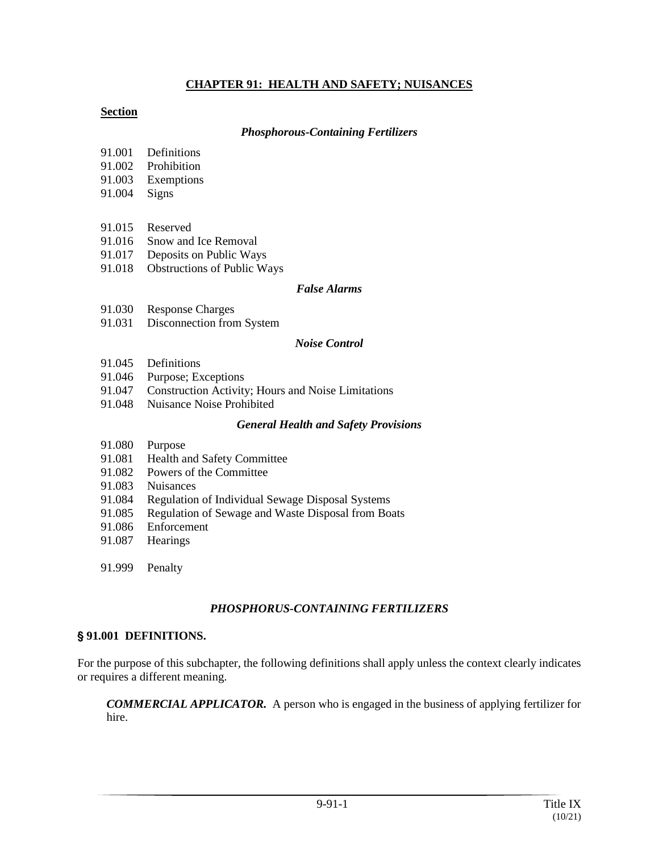#### **CHAPTER 91: HEALTH AND SAFETY; NUISANCES**

#### **Section**

#### *Phosphorous-Containing Fertilizers*

- 91.001 Definitions
- 91.002 Prohibition
- 91.003 Exemptions
- 91.004 Signs
- 91.015 Reserved
- 91.016 Snow and Ice Removal
- 91.017 Deposits on Public Ways
- 91.018 Obstructions of Public Ways

#### *False Alarms*

- 91.030 Response Charges
- 91.031 Disconnection from System

#### *Noise Control*

- 91.045 Definitions
- 91.046 Purpose; Exceptions
- 91.047 Construction Activity; Hours and Noise Limitations
- 91.048 Nuisance Noise Prohibited

#### *General Health and Safety Provisions*

- 91.080 Purpose
- 91.081 Health and Safety Committee
- 91.082 Powers of the Committee
- 91.083 Nuisances
- 91.084 Regulation of Individual Sewage Disposal Systems
- 91.085 Regulation of Sewage and Waste Disposal from Boats
- 91.086 Enforcement
- 91.087 Hearings
- 91.999 Penalty

#### *PHOSPHORUS-CONTAINING FERTILIZERS*

#### ' **91.001 DEFINITIONS.**

For the purpose of this subchapter, the following definitions shall apply unless the context clearly indicates or requires a different meaning.

*COMMERCIAL APPLICATOR.* A person who is engaged in the business of applying fertilizer for hire.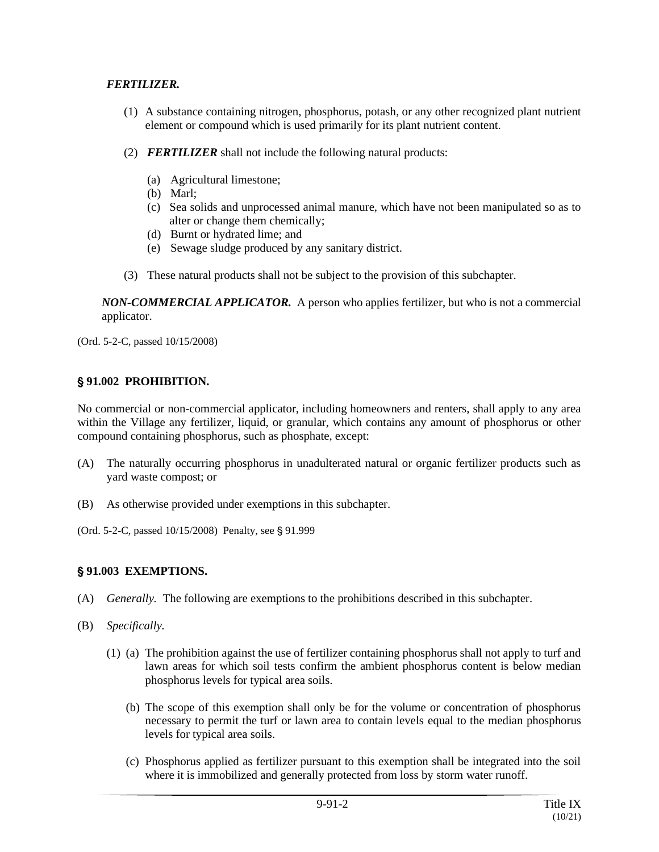### *FERTILIZER.*

- (1) A substance containing nitrogen, phosphorus, potash, or any other recognized plant nutrient element or compound which is used primarily for its plant nutrient content.
- (2) *FERTILIZER* shall not include the following natural products:
	- (a) Agricultural limestone;
	- (b) Marl;
	- (c) Sea solids and unprocessed animal manure, which have not been manipulated so as to alter or change them chemically;
	- (d) Burnt or hydrated lime; and
	- (e) Sewage sludge produced by any sanitary district.
- (3) These natural products shall not be subject to the provision of this subchapter.

*NON-COMMERCIAL APPLICATOR.* A person who applies fertilizer, but who is not a commercial applicator.

(Ord. 5-2-C, passed 10/15/2008)

## ' **91.002 PROHIBITION.**

No commercial or non-commercial applicator, including homeowners and renters, shall apply to any area within the Village any fertilizer, liquid, or granular, which contains any amount of phosphorus or other compound containing phosphorus, such as phosphate, except:

- (A) The naturally occurring phosphorus in unadulterated natural or organic fertilizer products such as yard waste compost; or
- (B) As otherwise provided under exemptions in this subchapter.
- (Ord. 5-2-C, passed 10/15/2008) Penalty, see § 91.999

# ' **91.003 EXEMPTIONS.**

- (A) *Generally.* The following are exemptions to the prohibitions described in this subchapter.
- (B) *Specifically.*
	- (1) (a) The prohibition against the use of fertilizer containing phosphorus shall not apply to turf and lawn areas for which soil tests confirm the ambient phosphorus content is below median phosphorus levels for typical area soils.
		- (b) The scope of this exemption shall only be for the volume or concentration of phosphorus necessary to permit the turf or lawn area to contain levels equal to the median phosphorus levels for typical area soils.
		- (c) Phosphorus applied as fertilizer pursuant to this exemption shall be integrated into the soil where it is immobilized and generally protected from loss by storm water runoff.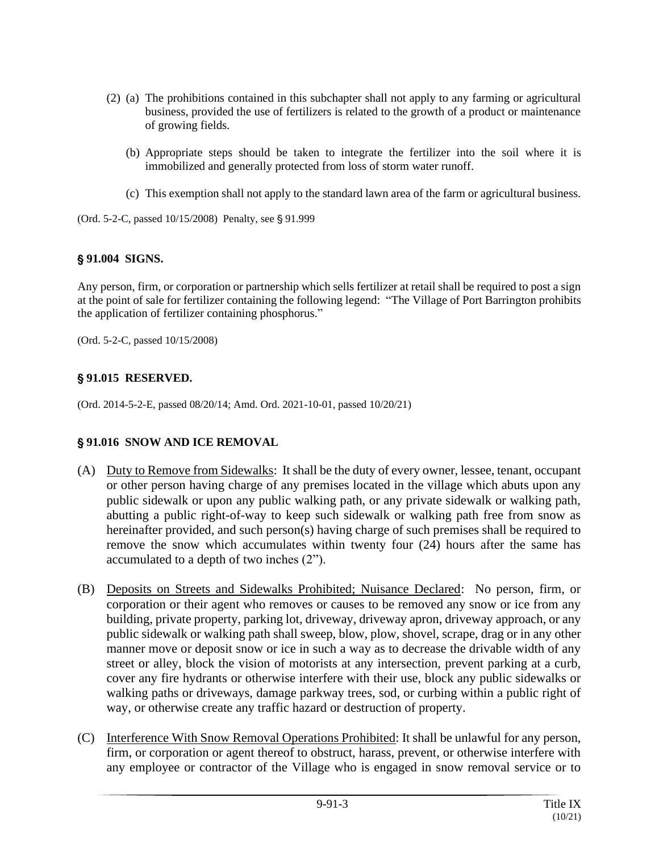- (2) (a) The prohibitions contained in this subchapter shall not apply to any farming or agricultural business, provided the use of fertilizers is related to the growth of a product or maintenance of growing fields.
	- (b) Appropriate steps should be taken to integrate the fertilizer into the soil where it is immobilized and generally protected from loss of storm water runoff.
	- (c) This exemption shall not apply to the standard lawn area of the farm or agricultural business.

(Ord. 5-2-C, passed 10/15/2008) Penalty, see § 91.999

# ' **91.004 SIGNS.**

Any person, firm, or corporation or partnership which sells fertilizer at retail shall be required to post a sign at the point of sale for fertilizer containing the following legend: "The Village of Port Barrington prohibits the application of fertilizer containing phosphorus."

(Ord. 5-2-C, passed 10/15/2008)

# ' **91.015 RESERVED.**

(Ord. 2014-5-2-E, passed 08/20/14; Amd. Ord. 2021-10-01, passed 10/20/21)

# ' **91.016 SNOW AND ICE REMOVAL**

- (A) Duty to Remove from Sidewalks: It shall be the duty of every owner, lessee, tenant, occupant or other person having charge of any premises located in the village which abuts upon any public sidewalk or upon any public walking path, or any private sidewalk or walking path, abutting a public right-of-way to keep such sidewalk or walking path free from snow as hereinafter provided, and such person(s) having charge of such premises shall be required to remove the snow which accumulates within twenty four (24) hours after the same has accumulated to a depth of two inches (2").
- (B) Deposits on Streets and Sidewalks Prohibited; Nuisance Declared: No person, firm, or corporation or their agent who removes or causes to be removed any snow or ice from any building, private property, parking lot, driveway, driveway apron, driveway approach, or any public sidewalk or walking path shall sweep, blow, plow, shovel, scrape, drag or in any other manner move or deposit snow or ice in such a way as to decrease the drivable width of any street or alley, block the vision of motorists at any intersection, prevent parking at a curb, cover any fire hydrants or otherwise interfere with their use, block any public sidewalks or walking paths or driveways, damage parkway trees, sod, or curbing within a public right of way, or otherwise create any traffic hazard or destruction of property.
- (C) Interference With Snow Removal Operations Prohibited: It shall be unlawful for any person, firm, or corporation or agent thereof to obstruct, harass, prevent, or otherwise interfere with any employee or contractor of the Village who is engaged in snow removal service or to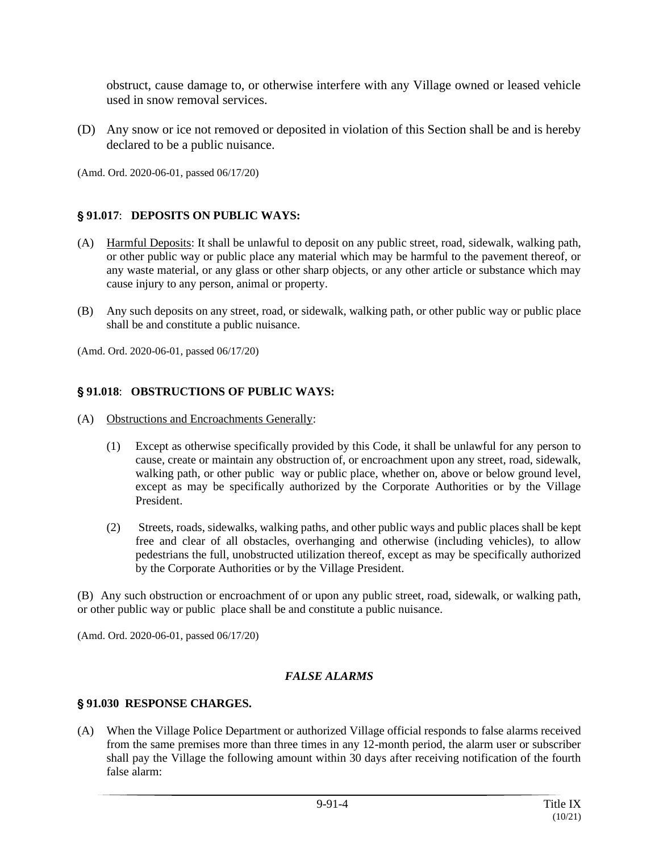obstruct, cause damage to, or otherwise interfere with any Village owned or leased vehicle used in snow removal services.

(D) Any snow or ice not removed or deposited in violation of this Section shall be and is hereby declared to be a public nuisance.

(Amd. Ord. 2020-06-01, passed 06/17/20)

## ' **91.017**: **DEPOSITS ON PUBLIC WAYS:**

- (A) Harmful Deposits: It shall be unlawful to deposit on any public street, road, sidewalk, walking path, or other public way or public place any material which may be harmful to the pavement thereof, or any waste material, or any glass or other sharp objects, or any other article or substance which may cause injury to any person, animal or property.
- (B) Any such deposits on any street, road, or sidewalk, walking path, or other public way or public place shall be and constitute a public nuisance.

(Amd. Ord. 2020-06-01, passed 06/17/20)

#### ' **91.018**: **OBSTRUCTIONS OF PUBLIC WAYS:**

- (A) Obstructions and Encroachments Generally:
	- (1) Except as otherwise specifically provided by this Code, it shall be unlawful for any person to cause, create or maintain any obstruction of, or encroachment upon any street, road, sidewalk, walking path, or other public way or public place, whether on, above or below ground level, except as may be specifically authorized by the Corporate Authorities or by the Village President.
	- (2) Streets, roads, sidewalks, walking paths, and other public ways and public places shall be kept free and clear of all obstacles, overhanging and otherwise (including vehicles), to allow pedestrians the full, unobstructed utilization thereof, except as may be specifically authorized by the Corporate Authorities or by the Village President.

(B) Any such obstruction or encroachment of or upon any public street, road, sidewalk, or walking path, or other public way or public place shall be and constitute a public nuisance.

(Amd. Ord. 2020-06-01, passed 06/17/20)

#### *FALSE ALARMS*

#### ' **91.030 RESPONSE CHARGES.**

(A) When the Village Police Department or authorized Village official responds to false alarms received from the same premises more than three times in any 12-month period, the alarm user or subscriber shall pay the Village the following amount within 30 days after receiving notification of the fourth false alarm: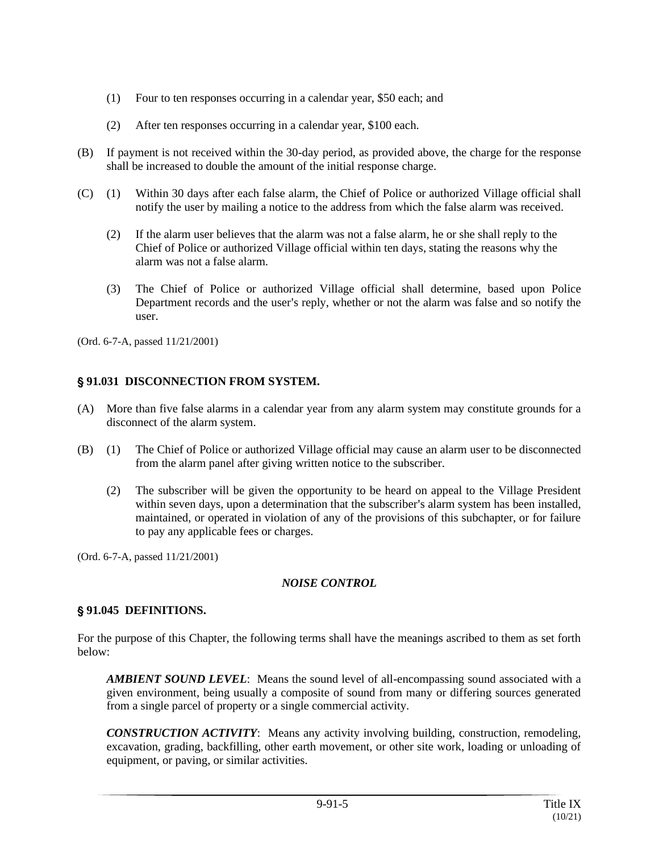- (1) Four to ten responses occurring in a calendar year, \$50 each; and
- (2) After ten responses occurring in a calendar year, \$100 each.
- (B) If payment is not received within the 30-day period, as provided above, the charge for the response shall be increased to double the amount of the initial response charge.
- (C) (1) Within 30 days after each false alarm, the Chief of Police or authorized Village official shall notify the user by mailing a notice to the address from which the false alarm was received.
	- (2) If the alarm user believes that the alarm was not a false alarm, he or she shall reply to the Chief of Police or authorized Village official within ten days, stating the reasons why the alarm was not a false alarm.
	- (3) The Chief of Police or authorized Village official shall determine, based upon Police Department records and the user's reply, whether or not the alarm was false and so notify the user.

(Ord. 6-7-A, passed 11/21/2001)

# ' **91.031 DISCONNECTION FROM SYSTEM.**

- (A) More than five false alarms in a calendar year from any alarm system may constitute grounds for a disconnect of the alarm system.
- (B) (1) The Chief of Police or authorized Village official may cause an alarm user to be disconnected from the alarm panel after giving written notice to the subscriber.
	- (2) The subscriber will be given the opportunity to be heard on appeal to the Village President within seven days, upon a determination that the subscriber's alarm system has been installed, maintained, or operated in violation of any of the provisions of this subchapter, or for failure to pay any applicable fees or charges.

(Ord. 6-7-A, passed 11/21/2001)

# *NOISE CONTROL*

### ' **91.045 DEFINITIONS.**

For the purpose of this Chapter, the following terms shall have the meanings ascribed to them as set forth below:

*AMBIENT SOUND LEVEL*: Means the sound level of all-encompassing sound associated with a given environment, being usually a composite of sound from many or differing sources generated from a single parcel of property or a single commercial activity.

*CONSTRUCTION ACTIVITY*: Means any activity involving building, construction, remodeling, excavation, grading, backfilling, other earth movement, or other site work, loading or unloading of equipment, or paving, or similar activities.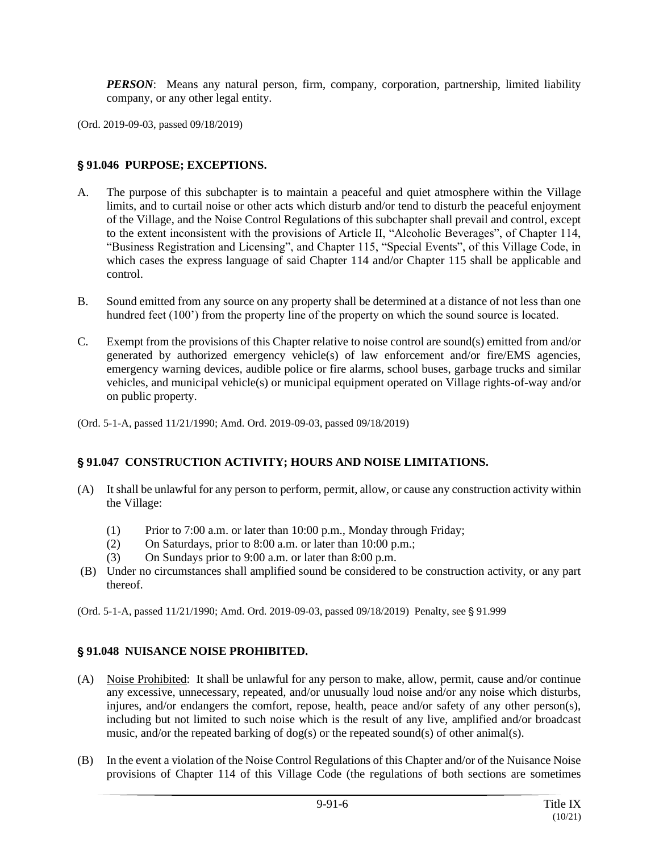*PERSON*: Means any natural person, firm, company, corporation, partnership, limited liability company, or any other legal entity.

(Ord. 2019-09-03, passed 09/18/2019)

### ' **91.046 PURPOSE; EXCEPTIONS.**

- A. The purpose of this subchapter is to maintain a peaceful and quiet atmosphere within the Village limits, and to curtail noise or other acts which disturb and/or tend to disturb the peaceful enjoyment of the Village, and the Noise Control Regulations of this subchapter shall prevail and control, except to the extent inconsistent with the provisions of Article II, "Alcoholic Beverages", of Chapter 114, "Business Registration and Licensing", and Chapter 115, "Special Events", of this Village Code, in which cases the express language of said Chapter 114 and/or Chapter 115 shall be applicable and control.
- B. Sound emitted from any source on any property shall be determined at a distance of not less than one hundred feet (100') from the property line of the property on which the sound source is located.
- C. Exempt from the provisions of this Chapter relative to noise control are sound(s) emitted from and/or generated by authorized emergency vehicle(s) of law enforcement and/or fire/EMS agencies, emergency warning devices, audible police or fire alarms, school buses, garbage trucks and similar vehicles, and municipal vehicle(s) or municipal equipment operated on Village rights-of-way and/or on public property.

(Ord. 5-1-A, passed 11/21/1990; Amd. Ord. 2019-09-03, passed 09/18/2019)

### ' **91.047 CONSTRUCTION ACTIVITY; HOURS AND NOISE LIMITATIONS.**

- (A) It shall be unlawful for any person to perform, permit, allow, or cause any construction activity within the Village:
	- (1) Prior to 7:00 a.m. or later than 10:00 p.m., Monday through Friday;
	- (2) On Saturdays, prior to 8:00 a.m. or later than 10:00 p.m.;
	- (3) On Sundays prior to 9:00 a.m. or later than 8:00 p.m.
- (B) Under no circumstances shall amplified sound be considered to be construction activity, or any part thereof.

(Ord. 5-1-A, passed 11/21/1990; Amd. Ord. 2019-09-03, passed 09/18/2019) Penalty, see § 91.999

### ' **91.048 NUISANCE NOISE PROHIBITED.**

- (A) Noise Prohibited: It shall be unlawful for any person to make, allow, permit, cause and/or continue any excessive, unnecessary, repeated, and/or unusually loud noise and/or any noise which disturbs, injures, and/or endangers the comfort, repose, health, peace and/or safety of any other person(s), including but not limited to such noise which is the result of any live, amplified and/or broadcast music, and/or the repeated barking of dog(s) or the repeated sound(s) of other animal(s).
- (B) In the event a violation of the Noise Control Regulations of this Chapter and/or of the Nuisance Noise provisions of Chapter 114 of this Village Code (the regulations of both sections are sometimes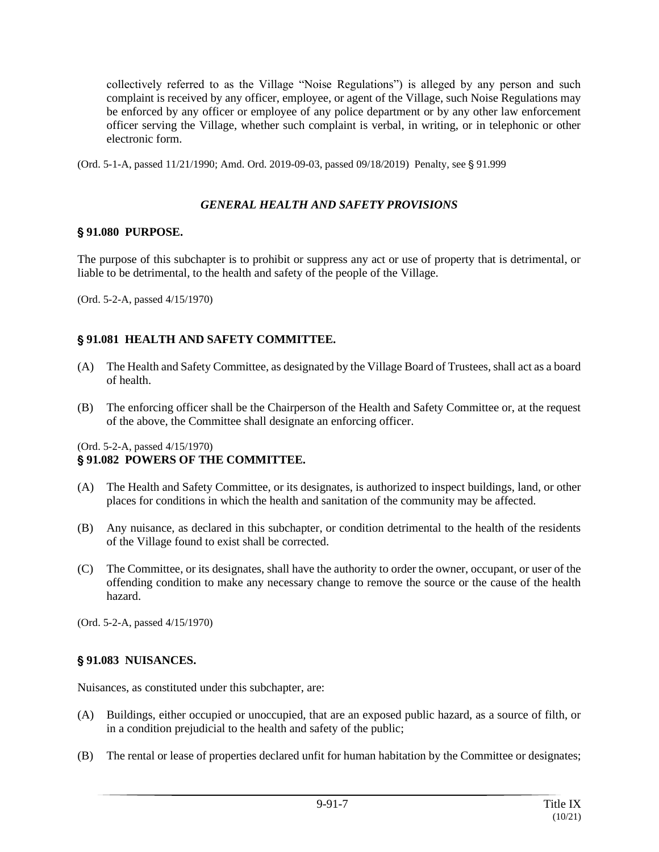collectively referred to as the Village "Noise Regulations") is alleged by any person and such complaint is received by any officer, employee, or agent of the Village, such Noise Regulations may be enforced by any officer or employee of any police department or by any other law enforcement officer serving the Village, whether such complaint is verbal, in writing, or in telephonic or other electronic form.

(Ord. 5-1-A, passed 11/21/1990; Amd. Ord. 2019-09-03, passed 09/18/2019) Penalty, see § 91.999

## *GENERAL HEALTH AND SAFETY PROVISIONS*

## ' **91.080 PURPOSE.**

The purpose of this subchapter is to prohibit or suppress any act or use of property that is detrimental, or liable to be detrimental, to the health and safety of the people of the Village.

(Ord. 5-2-A, passed 4/15/1970)

# ' **91.081 HEALTH AND SAFETY COMMITTEE.**

- (A) The Health and Safety Committee, as designated by the Village Board of Trustees, shall act as a board of health.
- (B) The enforcing officer shall be the Chairperson of the Health and Safety Committee or, at the request of the above, the Committee shall designate an enforcing officer.

(Ord. 5-2-A, passed 4/15/1970)

### ' **91.082 POWERS OF THE COMMITTEE.**

- (A) The Health and Safety Committee, or its designates, is authorized to inspect buildings, land, or other places for conditions in which the health and sanitation of the community may be affected.
- (B) Any nuisance, as declared in this subchapter, or condition detrimental to the health of the residents of the Village found to exist shall be corrected.
- (C) The Committee, or its designates, shall have the authority to order the owner, occupant, or user of the offending condition to make any necessary change to remove the source or the cause of the health hazard.

(Ord. 5-2-A, passed 4/15/1970)

# ' **91.083 NUISANCES.**

Nuisances, as constituted under this subchapter, are:

- (A) Buildings, either occupied or unoccupied, that are an exposed public hazard, as a source of filth, or in a condition prejudicial to the health and safety of the public;
- (B) The rental or lease of properties declared unfit for human habitation by the Committee or designates;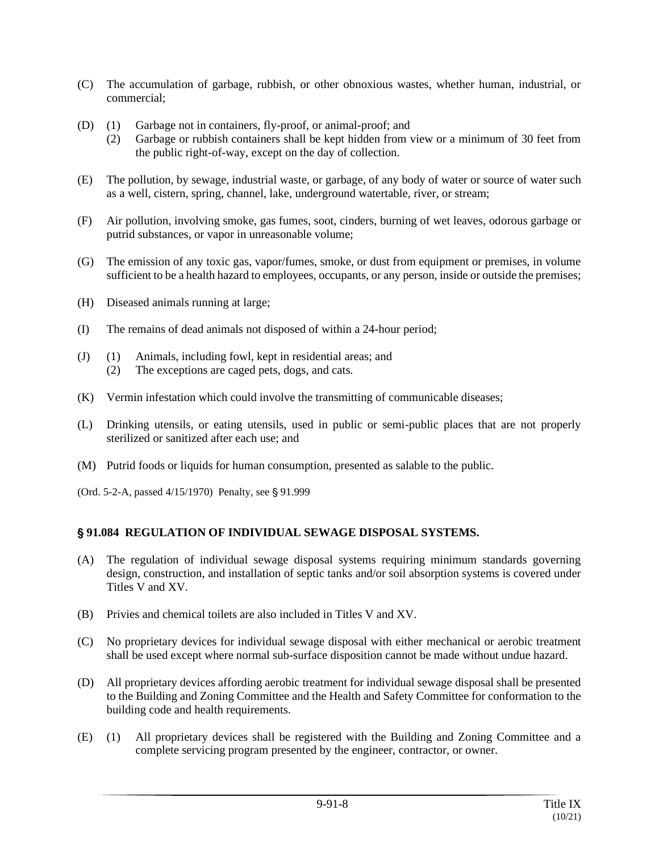- (C) The accumulation of garbage, rubbish, or other obnoxious wastes, whether human, industrial, or commercial;
- (D) (1) Garbage not in containers, fly-proof, or animal-proof; and
	- (2) Garbage or rubbish containers shall be kept hidden from view or a minimum of 30 feet from the public right-of-way, except on the day of collection.
- (E) The pollution, by sewage, industrial waste, or garbage, of any body of water or source of water such as a well, cistern, spring, channel, lake, underground watertable, river, or stream;
- (F) Air pollution, involving smoke, gas fumes, soot, cinders, burning of wet leaves, odorous garbage or putrid substances, or vapor in unreasonable volume;
- (G) The emission of any toxic gas, vapor/fumes, smoke, or dust from equipment or premises, in volume sufficient to be a health hazard to employees, occupants, or any person, inside or outside the premises;
- (H) Diseased animals running at large;
- (I) The remains of dead animals not disposed of within a 24-hour period;
- (J) (1) Animals, including fowl, kept in residential areas; and (2) The exceptions are caged pets, dogs, and cats.
- (K) Vermin infestation which could involve the transmitting of communicable diseases;
- (L) Drinking utensils, or eating utensils, used in public or semi-public places that are not properly sterilized or sanitized after each use; and
- (M) Putrid foods or liquids for human consumption, presented as salable to the public.
- (Ord. 5-2-A, passed 4/15/1970) Penalty, see § 91.999

# ' **91.084 REGULATION OF INDIVIDUAL SEWAGE DISPOSAL SYSTEMS.**

- (A) The regulation of individual sewage disposal systems requiring minimum standards governing design, construction, and installation of septic tanks and/or soil absorption systems is covered under Titles V and XV.
- (B) Privies and chemical toilets are also included in Titles V and XV.
- (C) No proprietary devices for individual sewage disposal with either mechanical or aerobic treatment shall be used except where normal sub-surface disposition cannot be made without undue hazard.
- (D) All proprietary devices affording aerobic treatment for individual sewage disposal shall be presented to the Building and Zoning Committee and the Health and Safety Committee for conformation to the building code and health requirements.
- (E) (1) All proprietary devices shall be registered with the Building and Zoning Committee and a complete servicing program presented by the engineer, contractor, or owner.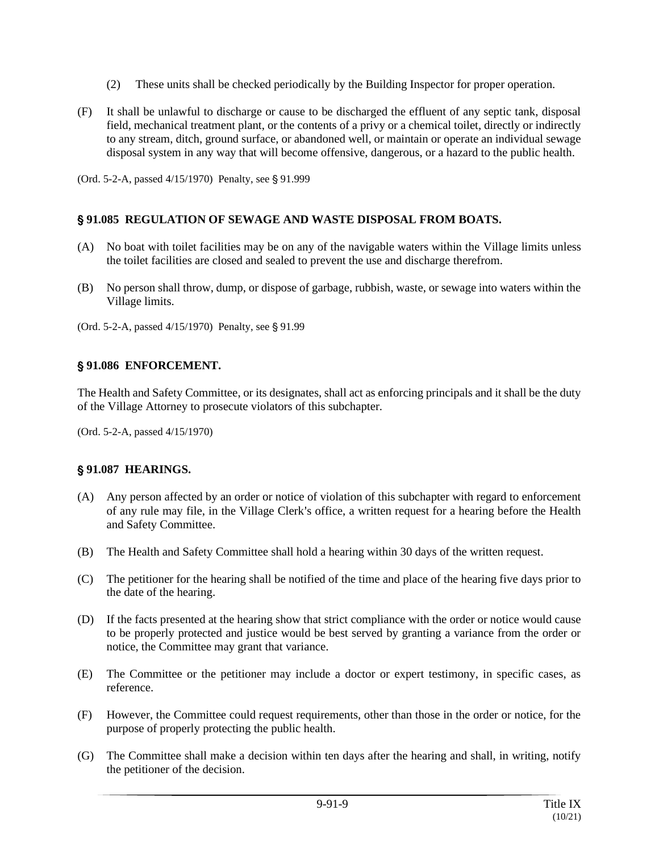- (2) These units shall be checked periodically by the Building Inspector for proper operation.
- (F) It shall be unlawful to discharge or cause to be discharged the effluent of any septic tank, disposal field, mechanical treatment plant, or the contents of a privy or a chemical toilet, directly or indirectly to any stream, ditch, ground surface, or abandoned well, or maintain or operate an individual sewage disposal system in any way that will become offensive, dangerous, or a hazard to the public health.
- (Ord. 5-2-A, passed  $4/15/1970$ ) Penalty, see § 91.999

# ' **91.085 REGULATION OF SEWAGE AND WASTE DISPOSAL FROM BOATS.**

- (A) No boat with toilet facilities may be on any of the navigable waters within the Village limits unless the toilet facilities are closed and sealed to prevent the use and discharge therefrom.
- (B) No person shall throw, dump, or dispose of garbage, rubbish, waste, or sewage into waters within the Village limits.
- (Ord. 5-2-A, passed  $4/15/1970$ ) Penalty, see § 91.99

# ' **91.086 ENFORCEMENT.**

The Health and Safety Committee, or its designates, shall act as enforcing principals and it shall be the duty of the Village Attorney to prosecute violators of this subchapter.

(Ord. 5-2-A, passed 4/15/1970)

# ' **91.087 HEARINGS.**

- (A) Any person affected by an order or notice of violation of this subchapter with regard to enforcement of any rule may file, in the Village Clerk's office, a written request for a hearing before the Health and Safety Committee.
- (B) The Health and Safety Committee shall hold a hearing within 30 days of the written request.
- (C) The petitioner for the hearing shall be notified of the time and place of the hearing five days prior to the date of the hearing.
- (D) If the facts presented at the hearing show that strict compliance with the order or notice would cause to be properly protected and justice would be best served by granting a variance from the order or notice, the Committee may grant that variance.
- (E) The Committee or the petitioner may include a doctor or expert testimony, in specific cases, as reference.
- (F) However, the Committee could request requirements, other than those in the order or notice, for the purpose of properly protecting the public health.
- (G) The Committee shall make a decision within ten days after the hearing and shall, in writing, notify the petitioner of the decision.